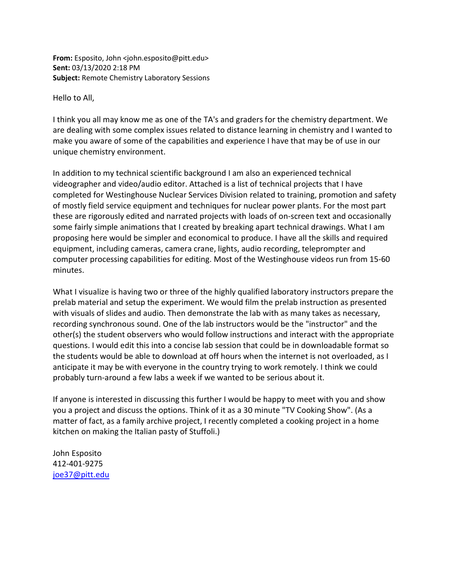From: Esposito, John <john.esposito@pitt.edu> Sent: 03/13/2020 2:18 PM Subject: Remote Chemistry Laboratory Sessions

Hello to All,

I think you all may know me as one of the TA's and graders for the chemistry department. We are dealing with some complex issues related to distance learning in chemistry and I wanted to make you aware of some of the capabilities and experience I have that may be of use in our unique chemistry environment.

In addition to my technical scientific background I am also an experienced technical videographer and video/audio editor. Attached is a list of technical projects that I have completed for Westinghouse Nuclear Services Division related to training, promotion and safety of mostly field service equipment and techniques for nuclear power plants. For the most part these are rigorously edited and narrated projects with loads of on-screen text and occasionally some fairly simple animations that I created by breaking apart technical drawings. What I am proposing here would be simpler and economical to produce. I have all the skills and required equipment, including cameras, camera crane, lights, audio recording, teleprompter and computer processing capabilities for editing. Most of the Westinghouse videos run from 15-60 minutes.

What I visualize is having two or three of the highly qualified laboratory instructors prepare the prelab material and setup the experiment. We would film the prelab instruction as presented with visuals of slides and audio. Then demonstrate the lab with as many takes as necessary, recording synchronous sound. One of the lab instructors would be the "instructor" and the other(s) the student observers who would follow instructions and interact with the appropriate questions. I would edit this into a concise lab session that could be in downloadable format so the students would be able to download at off hours when the internet is not overloaded, as I anticipate it may be with everyone in the country trying to work remotely. I think we could probably turn-around a few labs a week if we wanted to be serious about it.

If anyone is interested in discussing this further I would be happy to meet with you and show you a project and discuss the options. Think of it as a 30 minute "TV Cooking Show". (As a matter of fact, as a family archive project, I recently completed a cooking project in a home kitchen on making the Italian pasty of Stuffoli.)

John Esposito 412-401-9275 joe37@pitt.edu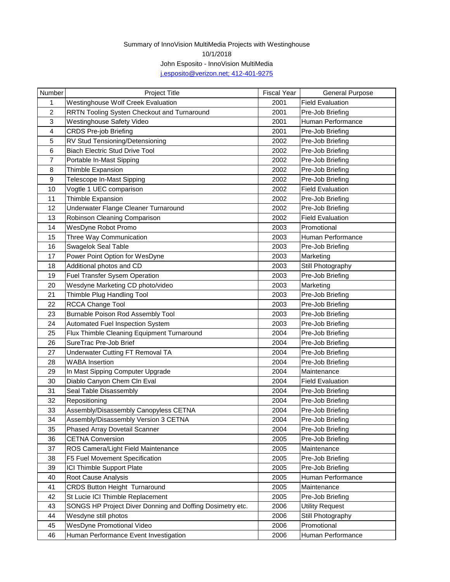## [j](mailto:j.esposito@verizon.net;%20412-401-9275).esposito@verizon.net; 412-401-9275 Summary of InnoVision MultiMedia Projects with Westinghouse 10/1/2018 John Esposito - InnoVision MultiMedia

| Number | <b>Project Title</b>                                      | <b>Fiscal Year</b> | <b>General Purpose</b>  |
|--------|-----------------------------------------------------------|--------------------|-------------------------|
| 1      | Westinghouse Wolf Creek Evaluation                        | 2001               | <b>Field Evaluation</b> |
| 2      | RRTN Tooling Systen Checkout and Turnaround               | 2001               | Pre-Job Briefing        |
| 3      | <b>Westinghouse Safety Video</b>                          | 2001               | Human Performance       |
| 4      | <b>CRDS Pre-job Briefing</b>                              | 2001               | Pre-Job Briefing        |
| 5      | RV Stud Tensioning/Detensioning                           | 2002               | Pre-Job Briefing        |
| 6      | <b>Biach Electric Stud Drive Tool</b>                     | 2002               | Pre-Job Briefing        |
| 7      | Portable In-Mast Sipping                                  | 2002               | Pre-Job Briefing        |
| 8      | Thimble Expansion                                         | 2002               | Pre-Job Briefing        |
| 9      | Telescope In-Mast Sipping                                 | 2002               | Pre-Job Briefing        |
| 10     | Vogtle 1 UEC comparison                                   | 2002               | <b>Field Evaluation</b> |
| 11     | Thimble Expansion                                         | 2002               | Pre-Job Briefing        |
| 12     | Underwater Flange Cleaner Turnaround                      | 2002               | Pre-Job Briefing        |
| 13     | Robinson Cleaning Comparison                              | 2002               | <b>Field Evaluation</b> |
| 14     | WesDyne Robot Promo                                       | 2003               | Promotional             |
| 15     | Three Way Communication                                   | 2003               | Human Performance       |
| 16     | Swagelok Seal Table                                       | 2003               | Pre-Job Briefing        |
| 17     | Power Point Option for WesDyne                            | 2003               | Marketing               |
| 18     | Additional photos and CD                                  | 2003               | Still Photography       |
| 19     | <b>Fuel Transfer Sysem Operation</b>                      | 2003               | Pre-Job Briefing        |
| 20     | Wesdyne Marketing CD photo/video                          | 2003               | Marketing               |
| 21     | Thimble Plug Handling Tool                                | 2003               | Pre-Job Briefing        |
| 22     | RCCA Change Tool                                          | 2003               | Pre-Job Briefing        |
| 23     | Burnable Poison Rod Assembly Tool                         | 2003               | Pre-Job Briefing        |
| 24     | Automated Fuel Inspection System                          | 2003               | Pre-Job Briefing        |
| 25     | Flux Thimble Cleaning Equipment Turnaround                | 2004               | Pre-Job Briefing        |
| 26     | SureTrac Pre-Job Brief                                    | 2004               | Pre-Job Briefing        |
| 27     | Underwater Cutting FT Removal TA                          | 2004               | Pre-Job Briefing        |
| 28     | <b>WABA</b> Insertion                                     | 2004               | Pre-Job Briefing        |
| 29     | In Mast Sipping Computer Upgrade                          | 2004               | Maintenance             |
| 30     | Diablo Canyon Chem Cln Eval                               | 2004               | <b>Field Evaluation</b> |
| 31     | Seal Table Disassembly                                    | 2004               | Pre-Job Briefing        |
| 32     | Repositioning                                             | 2004               | Pre-Job Briefing        |
| 33     | Assembly/Disassembly Canopyless CETNA                     | 2004               | Pre-Job Briefing        |
| 34     | Assembly/Disassembly Version 3 CETNA                      | 2004               | Pre-Job Briefing        |
| 35     | Phased Array Dovetail Scanner                             | 2004               | Pre-Job Briefing        |
| 36     | <b>CETNA Conversion</b>                                   | 2005               | Pre-Job Briefing        |
| 37     | ROS Camera/Light Field Maintenance                        | 2005               | Maintenance             |
| 38     | F5 Fuel Movement Specification                            | 2005               | Pre-Job Briefing        |
| 39     | ICI Thimble Support Plate                                 | 2005               | Pre-Job Briefing        |
| 40     | Root Cause Analysis                                       | 2005               | Human Performance       |
| 41     | CRDS Button Height Turnaround                             | 2005               | Maintenance             |
| 42     | St Lucie ICI Thimble Replacement                          | 2005               | Pre-Job Briefing        |
| 43     | SONGS HP Project Diver Donning and Doffing Dosimetry etc. | 2006               | <b>Utility Request</b>  |
| 44     | Wesdyne still photos                                      | 2006               | Still Photography       |
| 45     | WesDyne Promotional Video                                 | 2006               | Promotional             |
| 46     | Human Performance Event Investigation                     | 2006               | Human Performance       |